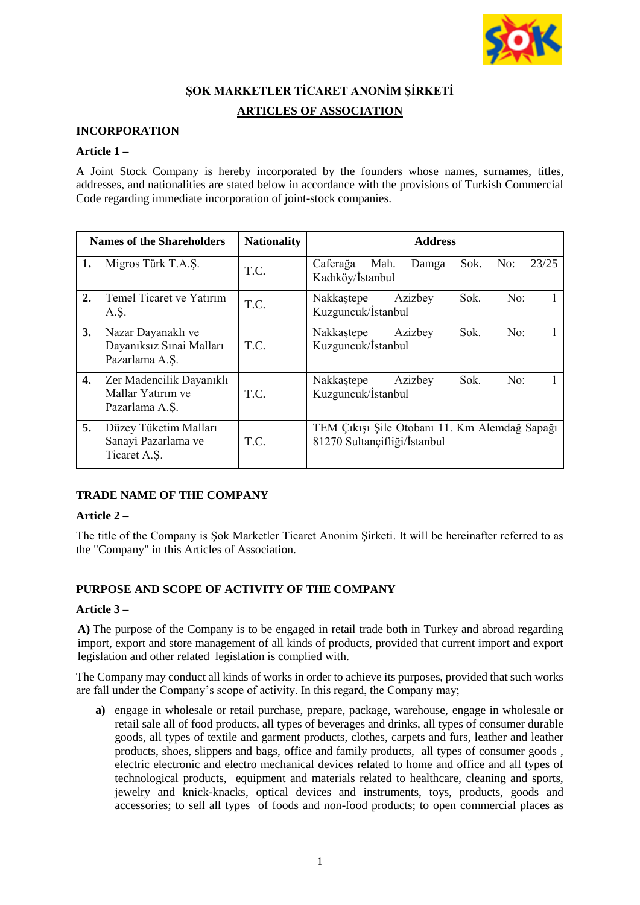

# **ŞOK MARKETLER TİCARET ANONİM ŞİRKETİ**

# **ARTICLES OF ASSOCIATION**

# **INCORPORATION**

### **Article 1 –**

A Joint Stock Company is hereby incorporated by the founders whose names, surnames, titles, addresses, and nationalities are stated below in accordance with the provisions of Turkish Commercial Code regarding immediate incorporation of joint-stock companies.

| <b>Names of the Shareholders</b> |                                                                  | <b>Nationality</b> | <b>Address</b>                                                                |
|----------------------------------|------------------------------------------------------------------|--------------------|-------------------------------------------------------------------------------|
| 1.                               | Migros Türk T.A.S.                                               | T.C.               | 23/25<br>Caferağa<br>Mah.<br>Sok.<br>No:<br>Damga<br>Kadıköy/İstanbul         |
| 2.                               | Temel Ticaret ve Yatırım<br>A.Ş.                                 | T.C.               | Sok.<br>Azizbey<br>No:<br>Nakkastepe<br>Kuzguncuk/İstanbul                    |
| 3.                               | Nazar Dayanaklı ve<br>Dayanıksız Sınai Malları<br>Pazarlama A.Ş. | T.C.               | Sok.<br>Azizbey<br>No:<br>Nakkastepe<br>Kuzguncuk/İstanbul                    |
| 4.                               | Zer Madencilik Dayanıklı<br>Mallar Yatırım ve<br>Pazarlama A.Ş.  | T.C.               | Sok.<br>No:<br>Nakkastepe<br>Azizbey<br>Kuzguncuk/İstanbul                    |
| 5.                               | Düzey Tüketim Malları<br>Sanayi Pazarlama ve<br>Ticaret A.S.     | T.C.               | TEM Çıkışı Şile Otobanı 11. Km Alemdağ Sapağı<br>81270 Sultançifliği/İstanbul |

# **TRADE NAME OF THE COMPANY**

# **Article 2 –**

The title of the Company is Şok Marketler Ticaret Anonim Şirketi. It will be hereinafter referred to as the "Company" in this Articles of Association.

# **PURPOSE AND SCOPE OF ACTIVITY OF THE COMPANY**

#### **Article 3 –**

**A)** The purpose of the Company is to be engaged in retail trade both in Turkey and abroad regarding import, export and store management of all kinds of products, provided that current import and export legislation and other related legislation is complied with.

The Company may conduct all kinds of works in order to achieve its purposes, provided that such works are fall under the Company's scope of activity. In this regard, the Company may;

**a)** engage in wholesale or retail purchase, prepare, package, warehouse, engage in wholesale or retail sale all of food products, all types of beverages and drinks, all types of consumer durable goods, all types of textile and garment products, clothes, carpets and furs, leather and leather products, shoes, slippers and bags, office and family products, all types of consumer goods , electric electronic and electro mechanical devices related to home and office and all types of technological products, equipment and materials related to healthcare, cleaning and sports, jewelry and knick-knacks, optical devices and instruments, toys, products, goods and accessories; to sell all types of foods and non-food products; to open commercial places as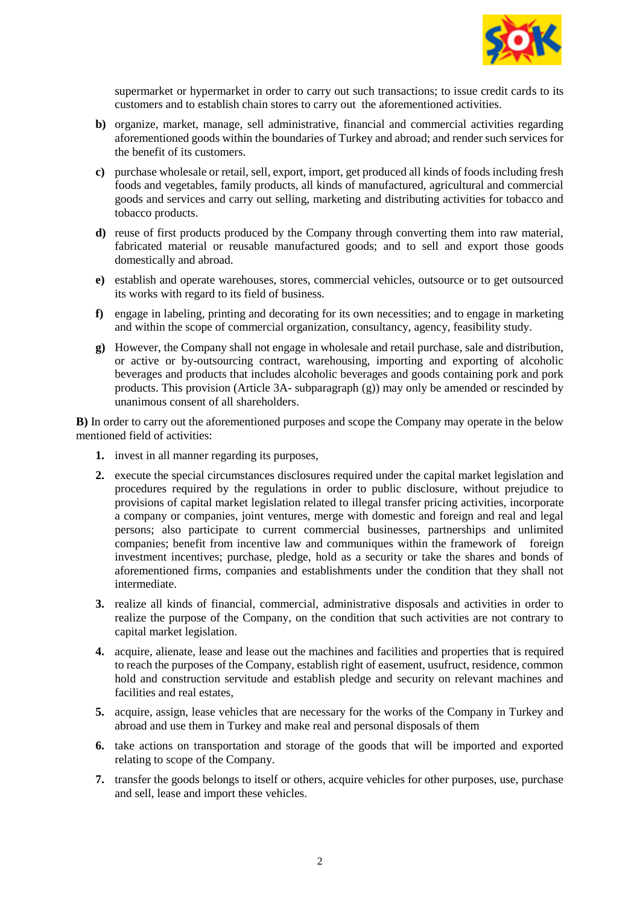

supermarket or hypermarket in order to carry out such transactions; to issue credit cards to its customers and to establish chain stores to carry out the aforementioned activities.

- **b**) organize, market, manage, sell administrative, financial and commercial activities regarding aforementioned goods within the boundaries of Turkey and abroad; and render such services for the benefit of its customers.
- **c)** purchase wholesale or retail, sell, export, import, get produced all kinds of foods including fresh foods and vegetables, family products, all kinds of manufactured, agricultural and commercial goods and services and carry out selling, marketing and distributing activities for tobacco and tobacco products.
- **d)** reuse of first products produced by the Company through converting them into raw material, fabricated material or reusable manufactured goods; and to sell and export those goods domestically and abroad.
- **e)** establish and operate warehouses, stores, commercial vehicles, outsource or to get outsourced its works with regard to its field of business.
- **f)** engage in labeling, printing and decorating for its own necessities; and to engage in marketing and within the scope of commercial organization, consultancy, agency, feasibility study.
- **g)** However, the Company shall not engage in wholesale and retail purchase, sale and distribution, or active or by-outsourcing contract, warehousing, importing and exporting of alcoholic beverages and products that includes alcoholic beverages and goods containing pork and pork products. This provision (Article 3A- subparagraph (g)) may only be amended or rescinded by unanimous consent of all shareholders.

**B)** In order to carry out the aforementioned purposes and scope the Company may operate in the below mentioned field of activities:

- **1.** invest in all manner regarding its purposes,
- **2.** execute the special circumstances disclosures required under the capital market legislation and procedures required by the regulations in order to public disclosure, without prejudice to provisions of capital market legislation related to illegal transfer pricing activities, incorporate a company or companies, joint ventures, merge with domestic and foreign and real and legal persons; also participate to current commercial businesses, partnerships and unlimited companies; benefit from incentive law and communiques within the framework of foreign investment incentives; purchase, pledge, hold as a security or take the shares and bonds of aforementioned firms, companies and establishments under the condition that they shall not intermediate.
- **3.** realize all kinds of financial, commercial, administrative disposals and activities in order to realize the purpose of the Company, on the condition that such activities are not contrary to capital market legislation.
- **4.** acquire, alienate, lease and lease out the machines and facilities and properties that is required to reach the purposes of the Company, establish right of easement, usufruct, residence, common hold and construction servitude and establish pledge and security on relevant machines and facilities and real estates,
- **5.** acquire, assign, lease vehicles that are necessary for the works of the Company in Turkey and abroad and use them in Turkey and make real and personal disposals of them
- **6.** take actions on transportation and storage of the goods that will be imported and exported relating to scope of the Company.
- **7.** transfer the goods belongs to itself or others, acquire vehicles for other purposes, use, purchase and sell, lease and import these vehicles.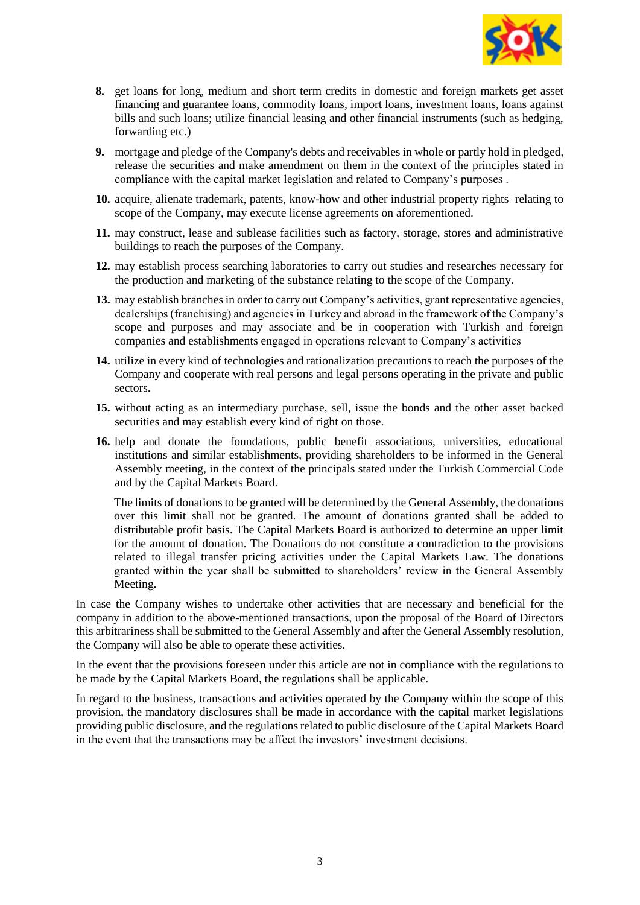

- **8.** get loans for long, medium and short term credits in domestic and foreign markets get asset financing and guarantee loans, commodity loans, import loans, investment loans, loans against bills and such loans; utilize financial leasing and other financial instruments (such as hedging, forwarding etc.)
- **9.** mortgage and pledge of the Company's debts and receivables in whole or partly hold in pledged, release the securities and make amendment on them in the context of the principles stated in compliance with the capital market legislation and related to Company's purposes .
- **10.** acquire, alienate trademark, patents, know-how and other industrial property rights relating to scope of the Company, may execute license agreements on aforementioned.
- **11.** may construct, lease and sublease facilities such as factory, storage, stores and administrative buildings to reach the purposes of the Company.
- **12.** may establish process searching laboratories to carry out studies and researches necessary for the production and marketing of the substance relating to the scope of the Company.
- **13.** may establish branches in order to carry out Company's activities, grant representative agencies, dealerships (franchising) and agencies in Turkey and abroad in the framework of the Company's scope and purposes and may associate and be in cooperation with Turkish and foreign companies and establishments engaged in operations relevant to Company's activities
- **14.** utilize in every kind of technologies and rationalization precautions to reach the purposes of the Company and cooperate with real persons and legal persons operating in the private and public sectors.
- **15.** without acting as an intermediary purchase, sell, issue the bonds and the other asset backed securities and may establish every kind of right on those.
- **16.** help and donate the foundations, public benefit associations, universities, educational institutions and similar establishments, providing shareholders to be informed in the General Assembly meeting, in the context of the principals stated under the Turkish Commercial Code and by the Capital Markets Board.

The limits of donations to be granted will be determined by the General Assembly, the donations over this limit shall not be granted. The amount of donations granted shall be added to distributable profit basis. The Capital Markets Board is authorized to determine an upper limit for the amount of donation. The Donations do not constitute a contradiction to the provisions related to illegal transfer pricing activities under the Capital Markets Law. The donations granted within the year shall be submitted to shareholders' review in the General Assembly Meeting.

In case the Company wishes to undertake other activities that are necessary and beneficial for the company in addition to the above-mentioned transactions, upon the proposal of the Board of Directors this arbitrariness shall be submitted to the General Assembly and after the General Assembly resolution, the Company will also be able to operate these activities.

In the event that the provisions foreseen under this article are not in compliance with the regulations to be made by the Capital Markets Board, the regulations shall be applicable.

In regard to the business, transactions and activities operated by the Company within the scope of this provision, the mandatory disclosures shall be made in accordance with the capital market legislations providing public disclosure, and the regulations related to public disclosure of the Capital Markets Board in the event that the transactions may be affect the investors' investment decisions.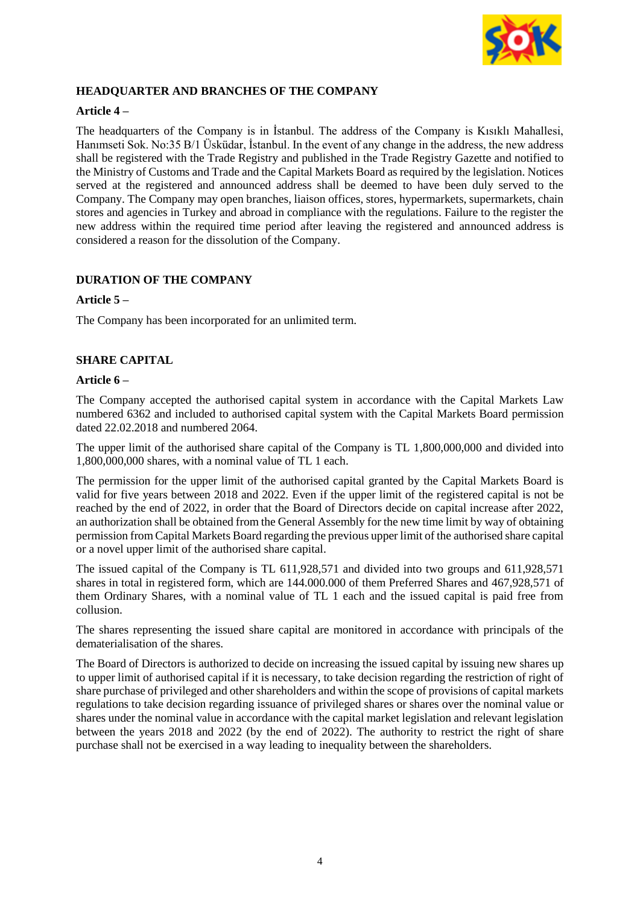

# **HEADQUARTER AND BRANCHES OF THE COMPANY**

# **Article 4 –**

The headquarters of the Company is in İstanbul. The address of the Company is Kısıklı Mahallesi, Hanımseti Sok. No:35 B/1 Üsküdar, İstanbul. In the event of any change in the address, the new address shall be registered with the Trade Registry and published in the Trade Registry Gazette and notified to the Ministry of Customs and Trade and the Capital Markets Board as required by the legislation. Notices served at the registered and announced address shall be deemed to have been duly served to the Company. The Company may open branches, liaison offices, stores, hypermarkets, supermarkets, chain stores and agencies in Turkey and abroad in compliance with the regulations. Failure to the register the new address within the required time period after leaving the registered and announced address is considered a reason for the dissolution of the Company.

# **DURATION OF THE COMPANY**

### **Article 5 –**

The Company has been incorporated for an unlimited term.

### **SHARE CAPITAL**

#### **Article 6 –**

The Company accepted the authorised capital system in accordance with the Capital Markets Law numbered 6362 and included to authorised capital system with the Capital Markets Board permission dated 22.02.2018 and numbered 2064.

The upper limit of the authorised share capital of the Company is TL 1,800,000,000 and divided into 1,800,000,000 shares, with a nominal value of TL 1 each.

The permission for the upper limit of the authorised capital granted by the Capital Markets Board is valid for five years between 2018 and 2022. Even if the upper limit of the registered capital is not be reached by the end of 2022, in order that the Board of Directors decide on capital increase after 2022, an authorization shall be obtained from the General Assembly for the new time limit by way of obtaining permission from Capital Markets Board regarding the previous upper limit of the authorised share capital or a novel upper limit of the authorised share capital.

The issued capital of the Company is TL 611,928,571 and divided into two groups and 611,928,571 shares in total in registered form, which are 144.000.000 of them Preferred Shares and 467,928,571 of them Ordinary Shares, with a nominal value of TL 1 each and the issued capital is paid free from collusion.

The shares representing the issued share capital are monitored in accordance with principals of the dematerialisation of the shares.

The Board of Directors is authorized to decide on increasing the issued capital by issuing new shares up to upper limit of authorised capital if it is necessary, to take decision regarding the restriction of right of share purchase of privileged and other shareholders and within the scope of provisions of capital markets regulations to take decision regarding issuance of privileged shares or shares over the nominal value or shares under the nominal value in accordance with the capital market legislation and relevant legislation between the years 2018 and 2022 (by the end of 2022). The authority to restrict the right of share purchase shall not be exercised in a way leading to inequality between the shareholders.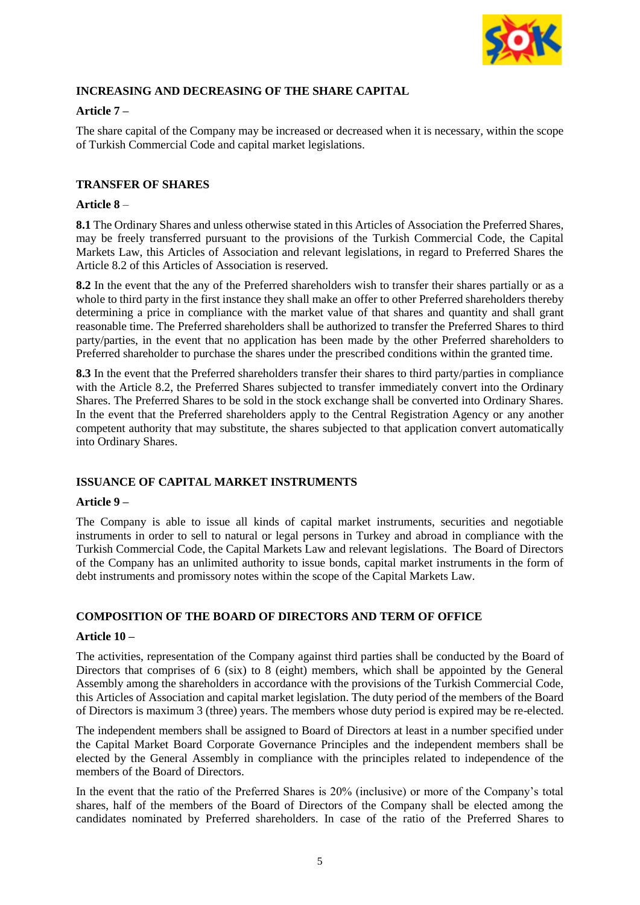

# **INCREASING AND DECREASING OF THE SHARE CAPITAL**

# **Article 7 –**

The share capital of the Company may be increased or decreased when it is necessary, within the scope of Turkish Commercial Code and capital market legislations.

# **TRANSFER OF SHARES**

### **Article 8** –

**8.1** The Ordinary Shares and unless otherwise stated in this Articles of Association the Preferred Shares, may be freely transferred pursuant to the provisions of the Turkish Commercial Code, the Capital Markets Law, this Articles of Association and relevant legislations, in regard to Preferred Shares the Article 8.2 of this Articles of Association is reserved.

**8.2** In the event that the any of the Preferred shareholders wish to transfer their shares partially or as a whole to third party in the first instance they shall make an offer to other Preferred shareholders thereby determining a price in compliance with the market value of that shares and quantity and shall grant reasonable time. The Preferred shareholders shall be authorized to transfer the Preferred Shares to third party/parties, in the event that no application has been made by the other Preferred shareholders to Preferred shareholder to purchase the shares under the prescribed conditions within the granted time.

**8.3** In the event that the Preferred shareholders transfer their shares to third party/parties in compliance with the Article 8.2, the Preferred Shares subjected to transfer immediately convert into the Ordinary Shares. The Preferred Shares to be sold in the stock exchange shall be converted into Ordinary Shares. In the event that the Preferred shareholders apply to the Central Registration Agency or any another competent authority that may substitute, the shares subjected to that application convert automatically into Ordinary Shares.

# **ISSUANCE OF CAPITAL MARKET INSTRUMENTS**

#### **Article 9 –**

The Company is able to issue all kinds of capital market instruments, securities and negotiable instruments in order to sell to natural or legal persons in Turkey and abroad in compliance with the Turkish Commercial Code, the Capital Markets Law and relevant legislations. The Board of Directors of the Company has an unlimited authority to issue bonds, capital market instruments in the form of debt instruments and promissory notes within the scope of the Capital Markets Law.

# **COMPOSITION OF THE BOARD OF DIRECTORS AND TERM OF OFFICE**

#### **Article 10 –**

The activities, representation of the Company against third parties shall be conducted by the Board of Directors that comprises of 6 (six) to 8 (eight) members, which shall be appointed by the General Assembly among the shareholders in accordance with the provisions of the Turkish Commercial Code, this Articles of Association and capital market legislation. The duty period of the members of the Board of Directors is maximum 3 (three) years. The members whose duty period is expired may be re-elected.

The independent members shall be assigned to Board of Directors at least in a number specified under the Capital Market Board Corporate Governance Principles and the independent members shall be elected by the General Assembly in compliance with the principles related to independence of the members of the Board of Directors.

In the event that the ratio of the Preferred Shares is 20% (inclusive) or more of the Company's total shares, half of the members of the Board of Directors of the Company shall be elected among the candidates nominated by Preferred shareholders. In case of the ratio of the Preferred Shares to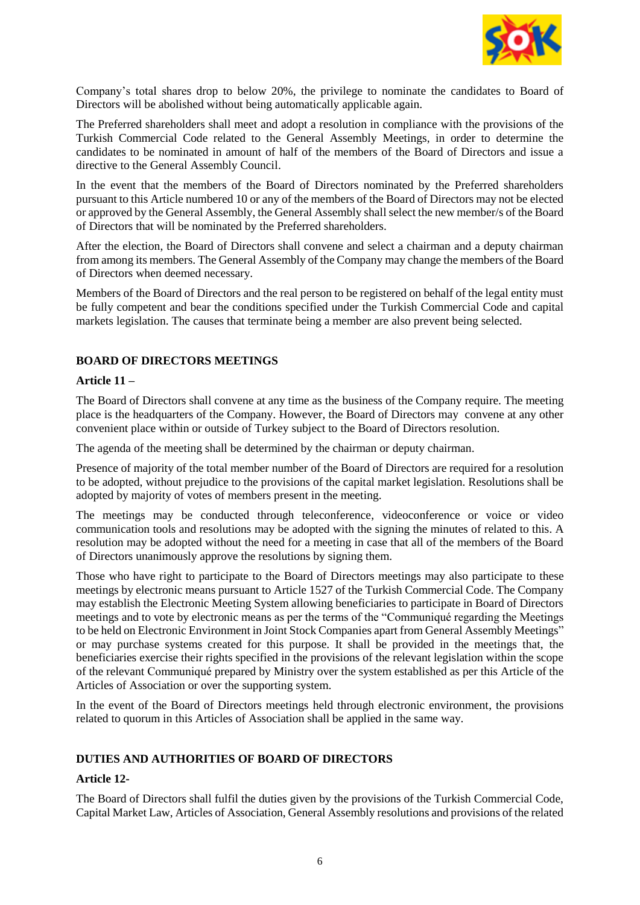

Company's total shares drop to below 20%, the privilege to nominate the candidates to Board of Directors will be abolished without being automatically applicable again.

The Preferred shareholders shall meet and adopt a resolution in compliance with the provisions of the Turkish Commercial Code related to the General Assembly Meetings, in order to determine the candidates to be nominated in amount of half of the members of the Board of Directors and issue a directive to the General Assembly Council.

In the event that the members of the Board of Directors nominated by the Preferred shareholders pursuant to this Article numbered 10 or any of the members of the Board of Directors may not be elected or approved by the General Assembly, the General Assembly shall select the new member/s of the Board of Directors that will be nominated by the Preferred shareholders.

After the election, the Board of Directors shall convene and select a chairman and a deputy chairman from among its members. The General Assembly of the Company may change the members of the Board of Directors when deemed necessary.

Members of the Board of Directors and the real person to be registered on behalf of the legal entity must be fully competent and bear the conditions specified under the Turkish Commercial Code and capital markets legislation. The causes that terminate being a member are also prevent being selected.

### **BOARD OF DIRECTORS MEETINGS**

#### **Article 11 –**

The Board of Directors shall convene at any time as the business of the Company require. The meeting place is the headquarters of the Company. However, the Board of Directors may convene at any other convenient place within or outside of Turkey subject to the Board of Directors resolution.

The agenda of the meeting shall be determined by the chairman or deputy chairman.

Presence of majority of the total member number of the Board of Directors are required for a resolution to be adopted, without prejudice to the provisions of the capital market legislation. Resolutions shall be adopted by majority of votes of members present in the meeting.

The meetings may be conducted through teleconference, videoconference or voice or video communication tools and resolutions may be adopted with the signing the minutes of related to this. A resolution may be adopted without the need for a meeting in case that all of the members of the Board of Directors unanimously approve the resolutions by signing them.

Those who have right to participate to the Board of Directors meetings may also participate to these meetings by electronic means pursuant to Article 1527 of the Turkish Commercial Code. The Company may establish the Electronic Meeting System allowing beneficiaries to participate in Board of Directors meetings and to vote by electronic means as per the terms of the "Communiqué regarding the Meetings to be held on Electronic Environment in Joint Stock Companies apart from General Assembly Meetings" or may purchase systems created for this purpose. It shall be provided in the meetings that, the beneficiaries exercise their rights specified in the provisions of the relevant legislation within the scope of the relevant Communiqué prepared by Ministry over the system established as per this Article of the Articles of Association or over the supporting system.

In the event of the Board of Directors meetings held through electronic environment, the provisions related to quorum in this Articles of Association shall be applied in the same way.

#### **DUTIES AND AUTHORITIES OF BOARD OF DIRECTORS**

# **Article 12-**

The Board of Directors shall fulfil the duties given by the provisions of the Turkish Commercial Code, Capital Market Law, Articles of Association, General Assembly resolutions and provisions of the related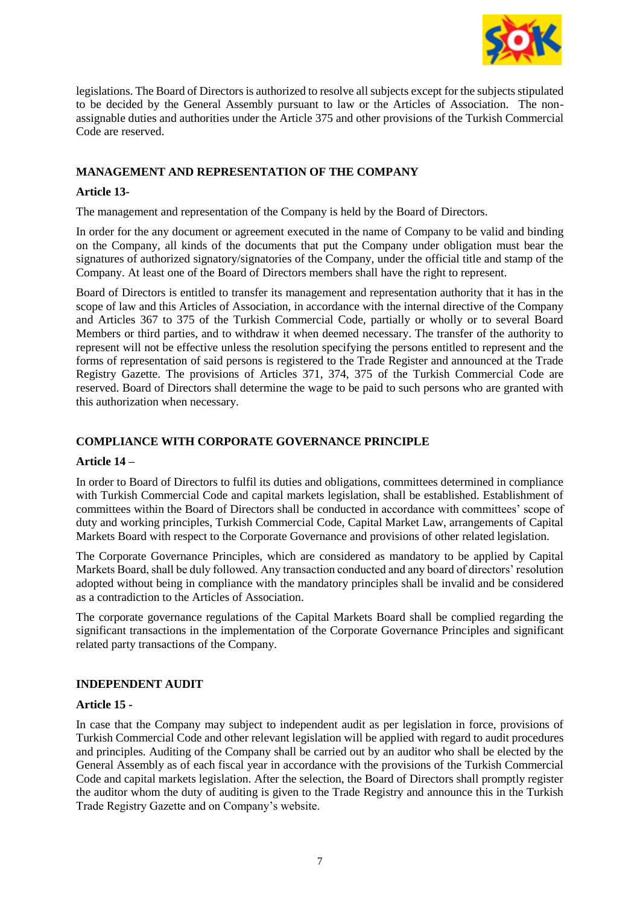

legislations. The Board of Directors is authorized to resolve all subjects except for the subjects stipulated to be decided by the General Assembly pursuant to law or the Articles of Association. The nonassignable duties and authorities under the Article 375 and other provisions of the Turkish Commercial Code are reserved.

# **MANAGEMENT AND REPRESENTATION OF THE COMPANY**

# **Article 13-**

The management and representation of the Company is held by the Board of Directors.

In order for the any document or agreement executed in the name of Company to be valid and binding on the Company, all kinds of the documents that put the Company under obligation must bear the signatures of authorized signatory/signatories of the Company, under the official title and stamp of the Company. At least one of the Board of Directors members shall have the right to represent.

Board of Directors is entitled to transfer its management and representation authority that it has in the scope of law and this Articles of Association, in accordance with the internal directive of the Company and Articles 367 to 375 of the Turkish Commercial Code, partially or wholly or to several Board Members or third parties, and to withdraw it when deemed necessary. The transfer of the authority to represent will not be effective unless the resolution specifying the persons entitled to represent and the forms of representation of said persons is registered to the Trade Register and announced at the Trade Registry Gazette. The provisions of Articles 371, 374, 375 of the Turkish Commercial Code are reserved. Board of Directors shall determine the wage to be paid to such persons who are granted with this authorization when necessary.

# **COMPLIANCE WITH CORPORATE GOVERNANCE PRINCIPLE**

# **Article 14 –**

In order to Board of Directors to fulfil its duties and obligations, committees determined in compliance with Turkish Commercial Code and capital markets legislation, shall be established. Establishment of committees within the Board of Directors shall be conducted in accordance with committees' scope of duty and working principles, Turkish Commercial Code, Capital Market Law, arrangements of Capital Markets Board with respect to the Corporate Governance and provisions of other related legislation.

The Corporate Governance Principles, which are considered as mandatory to be applied by Capital Markets Board, shall be duly followed. Any transaction conducted and any board of directors' resolution adopted without being in compliance with the mandatory principles shall be invalid and be considered as a contradiction to the Articles of Association.

The corporate governance regulations of the Capital Markets Board shall be complied regarding the significant transactions in the implementation of the Corporate Governance Principles and significant related party transactions of the Company.

# **INDEPENDENT AUDIT**

# **Article 15 -**

In case that the Company may subject to independent audit as per legislation in force, provisions of Turkish Commercial Code and other relevant legislation will be applied with regard to audit procedures and principles. Auditing of the Company shall be carried out by an auditor who shall be elected by the General Assembly as of each fiscal year in accordance with the provisions of the Turkish Commercial Code and capital markets legislation. After the selection, the Board of Directors shall promptly register the auditor whom the duty of auditing is given to the Trade Registry and announce this in the Turkish Trade Registry Gazette and on Company's website.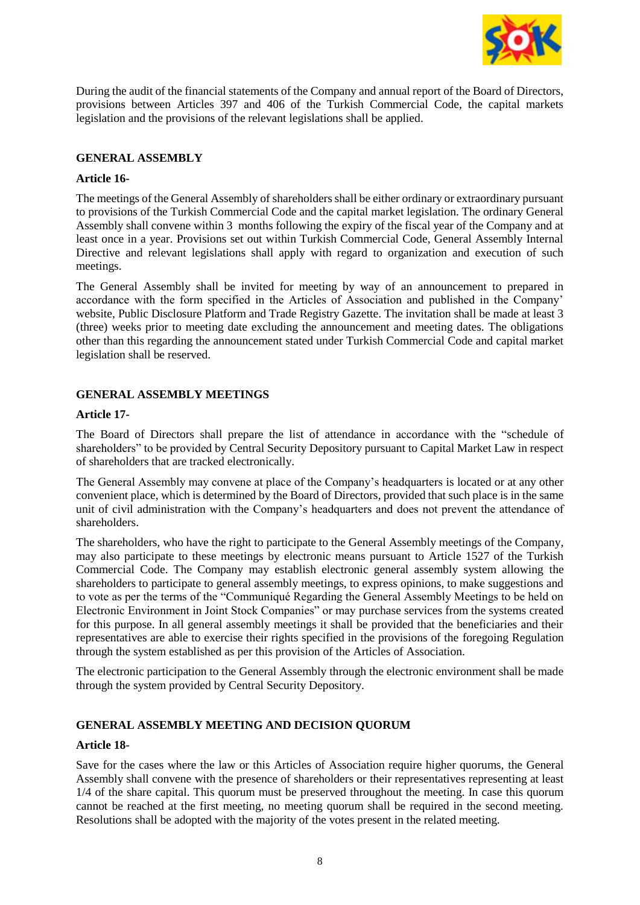

During the audit of the financial statements of the Company and annual report of the Board of Directors, provisions between Articles 397 and 406 of the Turkish Commercial Code, the capital markets legislation and the provisions of the relevant legislations shall be applied.

#### **GENERAL ASSEMBLY**

#### **Article 16-**

The meetings of the General Assembly of shareholders shall be either ordinary or extraordinary pursuant to provisions of the Turkish Commercial Code and the capital market legislation. The ordinary General Assembly shall convene within 3 months following the expiry of the fiscal year of the Company and at least once in a year. Provisions set out within Turkish Commercial Code, General Assembly Internal Directive and relevant legislations shall apply with regard to organization and execution of such meetings.

The General Assembly shall be invited for meeting by way of an announcement to prepared in accordance with the form specified in the Articles of Association and published in the Company' website, Public Disclosure Platform and Trade Registry Gazette. The invitation shall be made at least 3 (three) weeks prior to meeting date excluding the announcement and meeting dates. The obligations other than this regarding the announcement stated under Turkish Commercial Code and capital market legislation shall be reserved.

### **GENERAL ASSEMBLY MEETINGS**

#### **Article 17-**

The Board of Directors shall prepare the list of attendance in accordance with the "schedule of shareholders" to be provided by Central Security Depository pursuant to Capital Market Law in respect of shareholders that are tracked electronically.

The General Assembly may convene at place of the Company's headquarters is located or at any other convenient place, which is determined by the Board of Directors, provided that such place is in the same unit of civil administration with the Company's headquarters and does not prevent the attendance of shareholders.

The shareholders, who have the right to participate to the General Assembly meetings of the Company, may also participate to these meetings by electronic means pursuant to Article 1527 of the Turkish Commercial Code. The Company may establish electronic general assembly system allowing the shareholders to participate to general assembly meetings, to express opinions, to make suggestions and to vote as per the terms of the "Communiqué Regarding the General Assembly Meetings to be held on Electronic Environment in Joint Stock Companies" or may purchase services from the systems created for this purpose. In all general assembly meetings it shall be provided that the beneficiaries and their representatives are able to exercise their rights specified in the provisions of the foregoing Regulation through the system established as per this provision of the Articles of Association.

The electronic participation to the General Assembly through the electronic environment shall be made through the system provided by Central Security Depository.

# **GENERAL ASSEMBLY MEETING AND DECISION QUORUM**

#### **Article 18-**

Save for the cases where the law or this Articles of Association require higher quorums, the General Assembly shall convene with the presence of shareholders or their representatives representing at least 1/4 of the share capital. This quorum must be preserved throughout the meeting. In case this quorum cannot be reached at the first meeting, no meeting quorum shall be required in the second meeting. Resolutions shall be adopted with the majority of the votes present in the related meeting.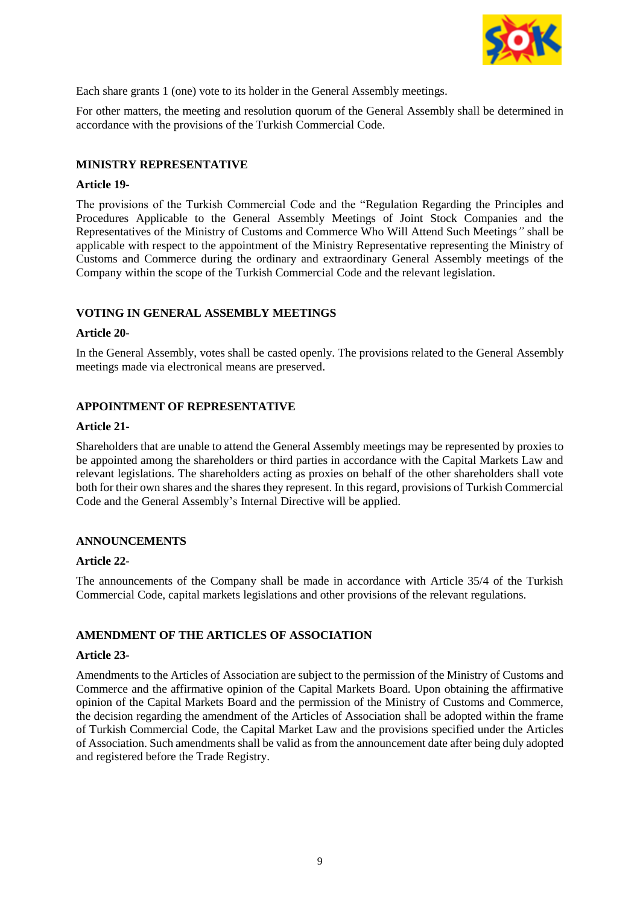

Each share grants 1 (one) vote to its holder in the General Assembly meetings.

For other matters, the meeting and resolution quorum of the General Assembly shall be determined in accordance with the provisions of the Turkish Commercial Code.

### **MINISTRY REPRESENTATIVE**

#### **Article 19-**

The provisions of the Turkish Commercial Code and the "Regulation Regarding the Principles and Procedures Applicable to the General Assembly Meetings of Joint Stock Companies and the Representatives of the Ministry of Customs and Commerce Who Will Attend Such Meetings*"* shall be applicable with respect to the appointment of the Ministry Representative representing the Ministry of Customs and Commerce during the ordinary and extraordinary General Assembly meetings of the Company within the scope of the Turkish Commercial Code and the relevant legislation.

### **VOTING IN GENERAL ASSEMBLY MEETINGS**

#### **Article 20-**

In the General Assembly, votes shall be casted openly. The provisions related to the General Assembly meetings made via electronical means are preserved.

### **APPOINTMENT OF REPRESENTATIVE**

#### **Article 21-**

Shareholders that are unable to attend the General Assembly meetings may be represented by proxies to be appointed among the shareholders or third parties in accordance with the Capital Markets Law and relevant legislations. The shareholders acting as proxies on behalf of the other shareholders shall vote both for their own shares and the shares they represent. In this regard, provisions of Turkish Commercial Code and the General Assembly's Internal Directive will be applied.

#### **ANNOUNCEMENTS**

#### **Article 22-**

The announcements of the Company shall be made in accordance with Article 35/4 of the Turkish Commercial Code, capital markets legislations and other provisions of the relevant regulations.

#### **AMENDMENT OF THE ARTICLES OF ASSOCIATION**

#### **Article 23-**

Amendments to the Articles of Association are subject to the permission of the Ministry of Customs and Commerce and the affirmative opinion of the Capital Markets Board. Upon obtaining the affirmative opinion of the Capital Markets Board and the permission of the Ministry of Customs and Commerce, the decision regarding the amendment of the Articles of Association shall be adopted within the frame of Turkish Commercial Code, the Capital Market Law and the provisions specified under the Articles of Association. Such amendments shall be valid as from the announcement date after being duly adopted and registered before the Trade Registry.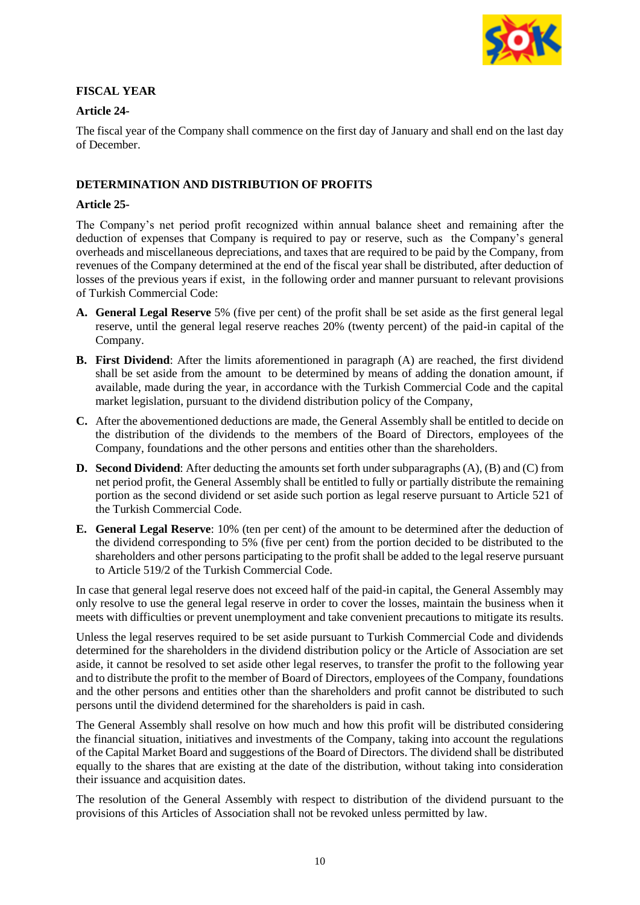

### **FISCAL YEAR**

### **Article 24-**

The fiscal year of the Company shall commence on the first day of January and shall end on the last day of December.

### **DETERMINATION AND DISTRIBUTION OF PROFITS**

#### **Article 25-**

The Company's net period profit recognized within annual balance sheet and remaining after the deduction of expenses that Company is required to pay or reserve, such as the Company's general overheads and miscellaneous depreciations, and taxes that are required to be paid by the Company, from revenues of the Company determined at the end of the fiscal year shall be distributed, after deduction of losses of the previous years if exist, in the following order and manner pursuant to relevant provisions of Turkish Commercial Code:

- **A. General Legal Reserve** 5% (five per cent) of the profit shall be set aside as the first general legal reserve, until the general legal reserve reaches 20% (twenty percent) of the paid-in capital of the Company.
- **B. First Dividend**: After the limits aforementioned in paragraph (A) are reached, the first dividend shall be set aside from the amount to be determined by means of adding the donation amount, if available, made during the year, in accordance with the Turkish Commercial Code and the capital market legislation, pursuant to the dividend distribution policy of the Company,
- **C.** After the abovementioned deductions are made, the General Assembly shall be entitled to decide on the distribution of the dividends to the members of the Board of Directors, employees of the Company, foundations and the other persons and entities other than the shareholders.
- **D. Second Dividend**: After deducting the amounts set forth under subparagraphs (A), (B) and (C) from net period profit, the General Assembly shall be entitled to fully or partially distribute the remaining portion as the second dividend or set aside such portion as legal reserve pursuant to Article 521 of the Turkish Commercial Code.
- **E. General Legal Reserve**: 10% (ten per cent) of the amount to be determined after the deduction of the dividend corresponding to 5% (five per cent) from the portion decided to be distributed to the shareholders and other persons participating to the profit shall be added to the legal reserve pursuant to Article 519/2 of the Turkish Commercial Code.

In case that general legal reserve does not exceed half of the paid-in capital, the General Assembly may only resolve to use the general legal reserve in order to cover the losses, maintain the business when it meets with difficulties or prevent unemployment and take convenient precautions to mitigate its results.

Unless the legal reserves required to be set aside pursuant to Turkish Commercial Code and dividends determined for the shareholders in the dividend distribution policy or the Article of Association are set aside, it cannot be resolved to set aside other legal reserves, to transfer the profit to the following year and to distribute the profit to the member of Board of Directors, employees of the Company, foundations and the other persons and entities other than the shareholders and profit cannot be distributed to such persons until the dividend determined for the shareholders is paid in cash.

The General Assembly shall resolve on how much and how this profit will be distributed considering the financial situation, initiatives and investments of the Company, taking into account the regulations of the Capital Market Board and suggestions of the Board of Directors. The dividend shall be distributed equally to the shares that are existing at the date of the distribution, without taking into consideration their issuance and acquisition dates.

The resolution of the General Assembly with respect to distribution of the dividend pursuant to the provisions of this Articles of Association shall not be revoked unless permitted by law.